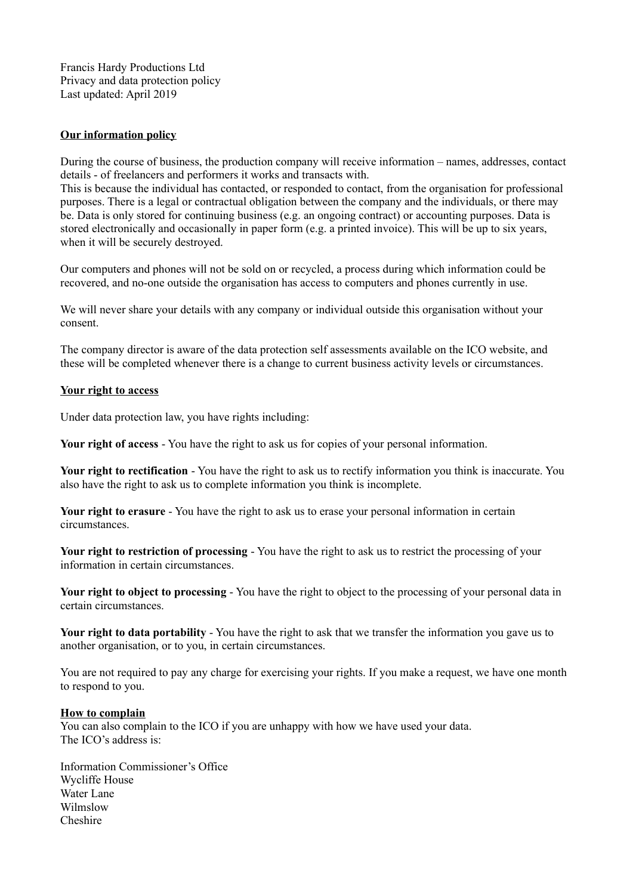Francis Hardy Productions Ltd Privacy and data protection policy Last updated: April 2019

## **Our information policy**

During the course of business, the production company will receive information – names, addresses, contact details - of freelancers and performers it works and transacts with.

This is because the individual has contacted, or responded to contact, from the organisation for professional purposes. There is a legal or contractual obligation between the company and the individuals, or there may be. Data is only stored for continuing business (e.g. an ongoing contract) or accounting purposes. Data is stored electronically and occasionally in paper form (e.g. a printed invoice). This will be up to six years, when it will be securely destroyed.

Our computers and phones will not be sold on or recycled, a process during which information could be recovered, and no-one outside the organisation has access to computers and phones currently in use.

We will never share your details with any company or individual outside this organisation without your consent.

The company director is aware of the data protection self assessments available on the ICO website, and these will be completed whenever there is a change to current business activity levels or circumstances.

## **Your right to access**

Under data protection law, you have rights including:

**Your right of access** - You have the right to ask us for copies of your personal information.

**Your right to rectification** - You have the right to ask us to rectify information you think is inaccurate. You also have the right to ask us to complete information you think is incomplete.

**Your right to erasure** - You have the right to ask us to erase your personal information in certain circumstances.

**Your right to restriction of processing** - You have the right to ask us to restrict the processing of your information in certain circumstances.

**Your right to object to processing** - You have the right to object to the processing of your personal data in certain circumstances.

**Your right to data portability** - You have the right to ask that we transfer the information you gave us to another organisation, or to you, in certain circumstances.

You are not required to pay any charge for exercising your rights. If you make a request, we have one month to respond to you.

## **How to complain**

You can also complain to the ICO if you are unhappy with how we have used your data. The ICO's address is:

Information Commissioner's Office Wycliffe House Water Lane Wilmslow Cheshire